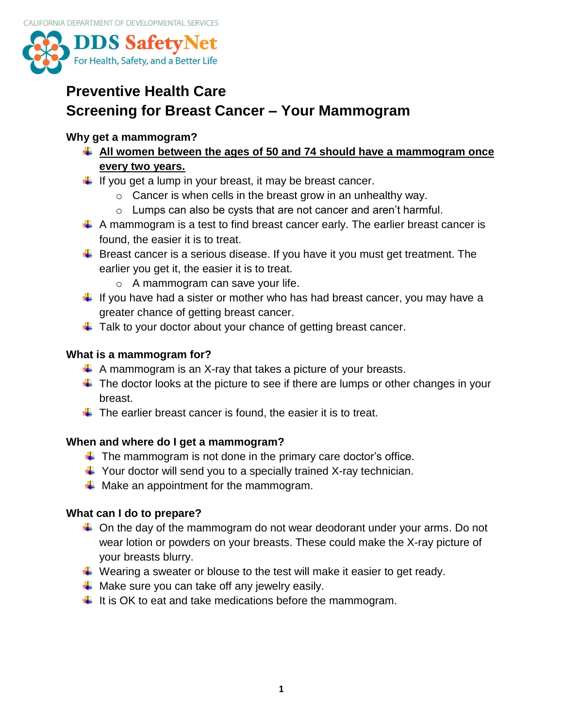

# **Preventive Health Care Screening for Breast Cancer – Your Mammogram**

#### **Why get a mammogram?**

- **All women between the ages of 50 and 74 should have a mammogram once every two years.**
- $\downarrow$  If you get a lump in your breast, it may be breast cancer.
	- $\circ$  Cancer is when cells in the breast grow in an unhealthy way.
	- o Lumps can also be cysts that are not cancer and aren't harmful.
- $\downarrow$  A mammogram is a test to find breast cancer early. The earlier breast cancer is found, the easier it is to treat.
- $\ddot{+}$  Breast cancer is a serious disease. If you have it you must get treatment. The earlier you get it, the easier it is to treat.
	- o A mammogram can save your life.
- $\ddot{\phantom{1}}$  If you have had a sister or mother who has had breast cancer, you may have a greater chance of getting breast cancer.
- $\ddagger$  Talk to your doctor about your chance of getting breast cancer.

### **What is a mammogram for?**

- $\downarrow$  A mammogram is an X-ray that takes a picture of your breasts.
- $\ddot{\phantom{1}}$  The doctor looks at the picture to see if there are lumps or other changes in your breast.
- $\ddot{+}$  The earlier breast cancer is found, the easier it is to treat.

### **When and where do I get a mammogram?**

- $\downarrow$  The mammogram is not done in the primary care doctor's office.
- $\downarrow$  Your doctor will send you to a specially trained X-ray technician.
- $\downarrow$  Make an appointment for the mammogram.

### **What can I do to prepare?**

- $\ddot$  On the day of the mammogram do not wear deodorant under your arms. Do not wear lotion or powders on your breasts. These could make the X-ray picture of your breasts blurry.
- $\ddot{*}$  Wearing a sweater or blouse to the test will make it easier to get ready.
- $\downarrow$  Make sure you can take off any jewelry easily.
- $\ddot{\phantom{1}}$  It is OK to eat and take medications before the mammogram.